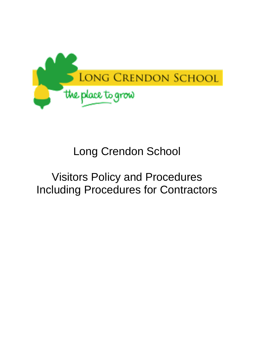

# Long Crendon School

## Visitors Policy and Procedures Including Procedures for Contractors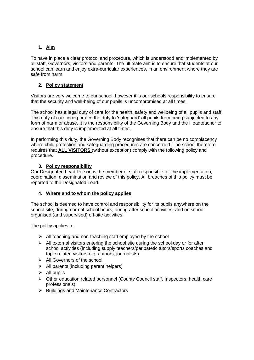## **1. Aim**

To have in place a clear protocol and procedure, which is understood and implemented by all staff, Governors, visitors and parents. The ultimate aim is to ensure that students at our school can learn and enjoy extra-curricular experiences, in an environment where they are safe from harm.

### **2. Policy statement**

Visitors are very welcome to our school, however it is our schools responsibility to ensure that the security and well-being of our pupils is uncompromised at all times.

The school has a legal duty of care for the health, safety and wellbeing of all pupils and staff. This duty of care incorporates the duty to 'safeguard' all pupils from being subjected to any form of harm or abuse. It is the responsibility of the Governing Body and the Headteacher to ensure that this duty is implemented at all times.

In performing this duty, the Governing Body recognises that there can be no complacency where child protection and safeguarding procedures are concerned. The school therefore requires that **ALL VISITORS** (without exception) comply with the following policy and procedure.

#### **3. Policy responsibility**

Our Designated Lead Person is the member of staff responsible for the implementation, coordination, dissemination and review of this policy. All breaches of this policy must be reported to the Designated Lead.

#### **4. Where and to whom the policy applies**

The school is deemed to have control and responsibility for its pupils anywhere on the school site, during normal school hours, during after school activities, and on school organised (and supervised) off-site activities.

The policy applies to:

- $\triangleright$  All teaching and non-teaching staff employed by the school
- $\triangleright$  All external visitors entering the school site during the school day or for after school activities (including supply teachers/peripatetic tutors/sports coaches and topic related visitors e.g. authors, journalists)
- $\triangleright$  All Governors of the school
- $\triangleright$  All parents (including parent helpers)
- $\triangleright$  All pupils
- ➢ Other education related personnel (County Council staff, Inspectors, health care professionals)
- ➢ Buildings and Maintenance Contractors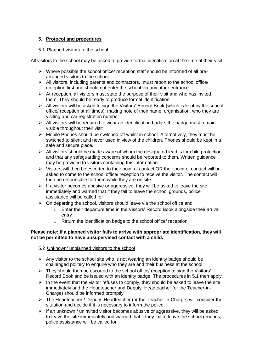## **5. Protocol and procedures**

#### 5.1 Planned visitors to the school

All visitors to the school may be asked to provide formal identification at the time of their visit

- ➢ Where possible the school office/ reception staff should be informed of all prearranged visitors to the school
- ➢ All visitors, including parents and contractors, must report to the school office/ reception first and should not enter the school via any other entrance
- $\triangleright$  At reception, all visitors must state the purpose of their visit and who has invited them. They should be ready to produce formal identification
- ➢ All visitors will be asked to sign the Visitors' Record Book (which is kept by the school office/ reception at all times), making note of their name, organisation, who they are visiting and car registration number
- $\triangleright$  All visitors will be required to wear an identification badge, the badge must remain visible throughout their visit
- $\triangleright$  Mobile Phones should be switched off whilst in school. Alternatively, they must be switched to silent and never used in view of the children. Phones should be kept in a safe and secure place.
- $\triangleright$  All visitors should be made aware of whom the designated lead is for child protection and that any safeguarding concerns should be reported to them. Written guidance may be provided to visitors containing this information
- $\triangleright$  Visitors will then be escorted to their point of contact OR their point of contact will be asked to come to the school office/ reception to receive the visitor. The contact will then be responsible for them while they are on site
- $\triangleright$  If a visitor becomes abusive or aggressive, they will be asked to leave the site immediately and warned that if they fail to leave the school grounds, police assistance will be called for
- $\triangleright$  On departing the school, visitors should leave via the school office and:
	- $\circ$  Enter their departure time in the Visitors' Record Book alongside their arrival entry
	- o Return the identification badge to the school office/ reception

#### **Please note: If a planned visitor fails to arrive with appropriate identification, they will not be permitted to have unsupervised contact with a child.**

- 5.2 Unknown/ unplanned visitors to the school
- $\triangleright$  Any visitor to the school site who is not wearing an identity badge should be challenged politely to enquire who they are and their business at the school
- ➢ They should then be escorted to the school office/ reception to sign the Visitors' Record Book and be issued with an identity badge. The procedures in 5.1 then apply.
- $\triangleright$  In the event that the visitor refuses to comply, they should be asked to leave the site immediately and the Headteacher and Deputy Headteacher (or the Teacher-in-Charge) should be informed promptly
- ➢ The Headteacher / Deputy Headteacher (or the Teacher-in-Charge) will consider the situation and decide if it is necessary to inform the police
- $\triangleright$  If an unknown / uninvited visitor becomes abusive or aggressive, they will be asked to leave the site immediately and warned that if they fail to leave the school grounds, police assistance will be called for